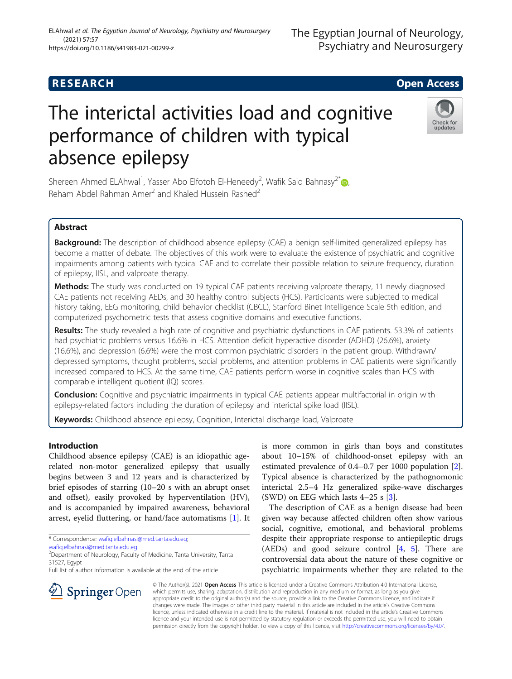# **RESEARCH CHE Open Access**

# The interictal activities load and cognitive performance of children with typical absence epilepsy

Shereen Ahmed ELAhwal<sup>1</sup>, Yasser Abo Elfotoh El-Heneedy<sup>2</sup>, Wafik Said Bahnasy<sup>2[\\*](http://orcid.org/0000-0001-5544-3958)</sup> Reham Abdel Rahman Amer<sup>2</sup> and Khaled Hussein Rashed<sup>2</sup>

# Abstract

Background: The description of childhood absence epilepsy (CAE) a benign self-limited generalized epilepsy has become a matter of debate. The objectives of this work were to evaluate the existence of psychiatric and cognitive impairments among patients with typical CAE and to correlate their possible relation to seizure frequency, duration of epilepsy, IISL, and valproate therapy.

Methods: The study was conducted on 19 typical CAE patients receiving valproate therapy, 11 newly diagnosed CAE patients not receiving AEDs, and 30 healthy control subjects (HCS). Participants were subjected to medical history taking, EEG monitoring, child behavior checklist (CBCL), Stanford Binet Intelligence Scale 5th edition, and computerized psychometric tests that assess cognitive domains and executive functions.

Results: The study revealed a high rate of cognitive and psychiatric dysfunctions in CAE patients. 53.3% of patients had psychiatric problems versus 16.6% in HCS. Attention deficit hyperactive disorder (ADHD) (26.6%), anxiety (16.6%), and depression (6.6%) were the most common psychiatric disorders in the patient group. Withdrawn/ depressed symptoms, thought problems, social problems, and attention problems in CAE patients were significantly increased compared to HCS. At the same time, CAE patients perform worse in cognitive scales than HCS with comparable intelligent quotient (IQ) scores.

**Conclusion:** Cognitive and psychiatric impairments in typical CAE patients appear multifactorial in origin with epilepsy-related factors including the duration of epilepsy and interictal spike load (IISL).

Keywords: Childhood absence epilepsy, Cognition, Interictal discharge load, Valproate

# Introduction

Childhood absence epilepsy (CAE) is an idiopathic agerelated non-motor generalized epilepsy that usually begins between 3 and 12 years and is characterized by brief episodes of starring (10–20 s with an abrupt onset and offset), easily provoked by hyperventilation (HV), and is accompanied by impaired awareness, behavioral arrest, eyelid fluttering, or hand/face automatisms [\[1](#page-5-0)]. It

\* Correspondence: [wafiq.elbahnasi@med.tanta.edu.eg;](mailto:wafiq.elbahnasi@med.tanta.edu.eg)

[wafiq.elbahnasi@med.tanta.edu.eg](mailto:wafiq.elbahnasi@med.tanta.edu.eg)

 $\mathcal{L}$  Springer Open

<sup>2</sup> Department of Neurology, Faculty of Medicine, Tanta University, Tanta 31527, Egypt

Full list of author information is available at the end of the article

is more common in girls than boys and constitutes about 10–15% of childhood-onset epilepsy with an estimated prevalence of 0.4–0.7 per 1000 population [\[2](#page-5-0)]. Typical absence is characterized by the pathognomonic interictal 2.5–4 Hz generalized spike-wave discharges (SWD) on EEG which lasts  $4-25$  s [\[3](#page-5-0)].

The description of CAE as a benign disease had been given way because affected children often show various social, cognitive, emotional, and behavioral problems despite their appropriate response to antiepileptic drugs (AEDs) and good seizure control [\[4](#page-5-0), [5](#page-5-0)]. There are controversial data about the nature of these cognitive or psychiatric impairments whether they are related to the

© The Author(s). 2021 Open Access This article is licensed under a Creative Commons Attribution 4.0 International License, which permits use, sharing, adaptation, distribution and reproduction in any medium or format, as long as you give appropriate credit to the original author(s) and the source, provide a link to the Creative Commons licence, and indicate if changes were made. The images or other third party material in this article are included in the article's Creative Commons licence, unless indicated otherwise in a credit line to the material. If material is not included in the article's Creative Commons licence and your intended use is not permitted by statutory regulation or exceeds the permitted use, you will need to obtain permission directly from the copyright holder. To view a copy of this licence, visit <http://creativecommons.org/licenses/by/4.0/>.





The Egyptian Journal of Neurology,

Psychiatry and Neurosurgery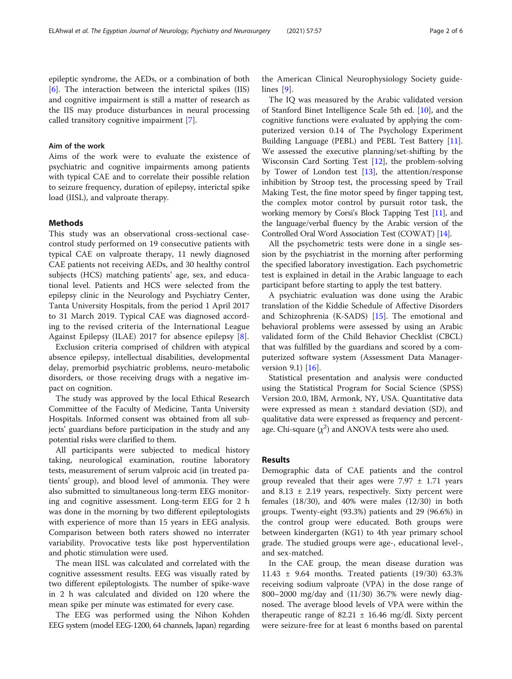epileptic syndrome, the AEDs, or a combination of both [[6\]](#page-5-0). The interaction between the interictal spikes (IIS) and cognitive impairment is still a matter of research as the IIS may produce disturbances in neural processing called transitory cognitive impairment [\[7\]](#page-5-0).

# Aim of the work

Aims of the work were to evaluate the existence of psychiatric and cognitive impairments among patients with typical CAE and to correlate their possible relation to seizure frequency, duration of epilepsy, interictal spike load (IISL), and valproate therapy.

#### Methods

This study was an observational cross-sectional casecontrol study performed on 19 consecutive patients with typical CAE on valproate therapy, 11 newly diagnosed CAE patients not receiving AEDs, and 30 healthy control subjects (HCS) matching patients' age, sex, and educational level. Patients and HCS were selected from the epilepsy clinic in the Neurology and Psychiatry Center, Tanta University Hospitals, from the period 1 April 2017 to 31 March 2019. Typical CAE was diagnosed according to the revised criteria of the International League Against Epilepsy (ILAE) 2017 for absence epilepsy [\[8](#page-5-0)].

Exclusion criteria comprised of children with atypical absence epilepsy, intellectual disabilities, developmental delay, premorbid psychiatric problems, neuro-metabolic disorders, or those receiving drugs with a negative impact on cognition.

The study was approved by the local Ethical Research Committee of the Faculty of Medicine, Tanta University Hospitals. Informed consent was obtained from all subjects' guardians before participation in the study and any potential risks were clarified to them.

All participants were subjected to medical history taking, neurological examination, routine laboratory tests, measurement of serum valproic acid (in treated patients' group), and blood level of ammonia. They were also submitted to simultaneous long-term EEG monitoring and cognitive assessment. Long-term EEG for 2 h was done in the morning by two different epileptologists with experience of more than 15 years in EEG analysis. Comparison between both raters showed no interrater variability. Provocative tests like post hyperventilation and photic stimulation were used.

The mean IISL was calculated and correlated with the cognitive assessment results. EEG was visually rated by two different epileptologists. The number of spike-wave in 2 h was calculated and divided on 120 where the mean spike per minute was estimated for every case.

The EEG was performed using the Nihon Kohden EEG system (model EEG-1200, 64 channels, Japan) regarding

the American Clinical Neurophysiology Society guidelines [[9](#page-5-0)].

The IQ was measured by the Arabic validated version of Stanford Binet Intelligence Scale 5th ed. [[10\]](#page-5-0), and the cognitive functions were evaluated by applying the computerized version 0.14 of The Psychology Experiment Building Language (PEBL) and PEBL Test Battery [\[11](#page-5-0)]. We assessed the executive planning/set-shifting by the Wisconsin Card Sorting Test [[12](#page-5-0)], the problem-solving by Tower of London test  $[13]$ , the attention/response inhibition by Stroop test, the processing speed by Trail Making Test, the fine motor speed by finger tapping test, the complex motor control by pursuit rotor task, the working memory by Corsi's Block Tapping Test [[11](#page-5-0)], and the language/verbal fluency by the Arabic version of the Controlled Oral Word Association Test (COWAT) [\[14\]](#page-5-0).

All the psychometric tests were done in a single session by the psychiatrist in the morning after performing the specified laboratory investigation. Each psychometric test is explained in detail in the Arabic language to each participant before starting to apply the test battery.

A psychiatric evaluation was done using the Arabic translation of the Kiddie Schedule of Affective Disorders and Schizophrenia (K-SADS) [\[15](#page-5-0)]. The emotional and behavioral problems were assessed by using an Arabic validated form of the Child Behavior Checklist (CBCL) that was fulfilled by the guardians and scored by a computerized software system (Assessment Data Manager-version 9.1) [\[16](#page-5-0)].

Statistical presentation and analysis were conducted using the Statistical Program for Social Science (SPSS) Version 20.0, IBM, Armonk, NY, USA. Quantitative data were expressed as mean  $\pm$  standard deviation (SD), and qualitative data were expressed as frequency and percentage. Chi-square  $(\chi^2)$  and ANOVA tests were also used.

#### Results

Demographic data of CAE patients and the control group revealed that their ages were  $7.97 \pm 1.71$  years and  $8.13 \pm 2.19$  years, respectively. Sixty percent were females (18/30), and 40% were males (12/30) in both groups. Twenty-eight (93.3%) patients and 29 (96.6%) in the control group were educated. Both groups were between kindergarten (KG1) to 4th year primary school grade. The studied groups were age-, educational level-, and sex-matched.

In the CAE group, the mean disease duration was 11.43 ± 9.64 months. Treated patients (19/30) 63.3% receiving sodium valproate (VPA) in the dose range of 800–2000 mg/day and (11/30) 36.7% were newly diagnosed. The average blood levels of VPA were within the therapeutic range of 82.21  $\pm$  16.46 mg/dl. Sixty percent were seizure-free for at least 6 months based on parental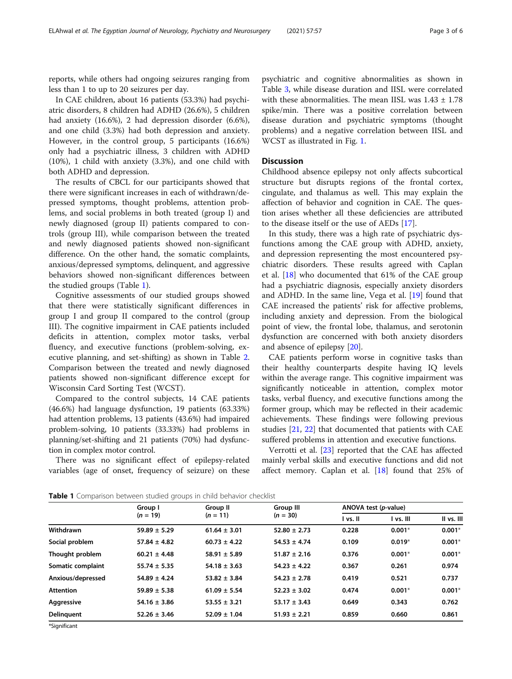reports, while others had ongoing seizures ranging from less than 1 to up to 20 seizures per day.

In CAE children, about 16 patients (53.3%) had psychiatric disorders, 8 children had ADHD (26.6%), 5 children had anxiety (16.6%), 2 had depression disorder (6.6%), and one child (3.3%) had both depression and anxiety. However, in the control group, 5 participants (16.6%) only had a psychiatric illness, 3 children with ADHD (10%), 1 child with anxiety (3.3%), and one child with both ADHD and depression.

The results of CBCL for our participants showed that there were significant increases in each of withdrawn/depressed symptoms, thought problems, attention problems, and social problems in both treated (group I) and newly diagnosed (group II) patients compared to controls (group III), while comparison between the treated and newly diagnosed patients showed non-significant difference. On the other hand, the somatic complaints, anxious/depressed symptoms, delinquent, and aggressive behaviors showed non-significant differences between the studied groups (Table 1).

Cognitive assessments of our studied groups showed that there were statistically significant differences in group I and group II compared to the control (group III). The cognitive impairment in CAE patients included deficits in attention, complex motor tasks, verbal fluency, and executive functions (problem-solving, executive planning, and set-shifting) as shown in Table [2](#page-3-0). Comparison between the treated and newly diagnosed patients showed non-significant difference except for Wisconsin Card Sorting Test (WCST).

Compared to the control subjects, 14 CAE patients (46.6%) had language dysfunction, 19 patients (63.33%) had attention problems, 13 patients (43.6%) had impaired problem-solving, 10 patients (33.33%) had problems in planning/set-shifting and 21 patients (70%) had dysfunction in complex motor control.

There was no significant effect of epilepsy-related variables (age of onset, frequency of seizure) on these

psychiatric and cognitive abnormalities as shown in Table [3,](#page-3-0) while disease duration and IISL were correlated with these abnormalities. The mean IISL was  $1.43 \pm 1.78$ spike/min. There was a positive correlation between disease duration and psychiatric symptoms (thought problems) and a negative correlation between IISL and WCST as illustrated in Fig. [1.](#page-4-0)

### **Discussion**

Childhood absence epilepsy not only affects subcortical structure but disrupts regions of the frontal cortex, cingulate, and thalamus as well. This may explain the affection of behavior and cognition in CAE. The question arises whether all these deficiencies are attributed to the disease itself or the use of AEDs [[17\]](#page-5-0).

In this study, there was a high rate of psychiatric dysfunctions among the CAE group with ADHD, anxiety, and depression representing the most encountered psychiatric disorders. These results agreed with Caplan et al. [[18\]](#page-5-0) who documented that 61% of the CAE group had a psychiatric diagnosis, especially anxiety disorders and ADHD. In the same line, Vega et al. [\[19\]](#page-5-0) found that CAE increased the patients' risk for affective problems, including anxiety and depression. From the biological point of view, the frontal lobe, thalamus, and serotonin dysfunction are concerned with both anxiety disorders and absence of epilepsy [\[20\]](#page-5-0).

CAE patients perform worse in cognitive tasks than their healthy counterparts despite having IQ levels within the average range. This cognitive impairment was significantly noticeable in attention, complex motor tasks, verbal fluency, and executive functions among the former group, which may be reflected in their academic achievements. These findings were following previous studies [\[21](#page-5-0), [22](#page-5-0)] that documented that patients with CAE suffered problems in attention and executive functions.

Verrotti et al. [[23\]](#page-5-0) reported that the CAE has affected mainly verbal skills and executive functions and did not affect memory. Caplan et al. [[18\]](#page-5-0) found that 25% of

|  | Table 1 Comparison between studied groups in child behavior checklist |  |  |  |
|--|-----------------------------------------------------------------------|--|--|--|
|  |                                                                       |  |  |  |

|                   | Group I<br>$(n = 19)$ | Group II         | <b>Group III</b> | ANOVA test (p-value) |           |            |  |
|-------------------|-----------------------|------------------|------------------|----------------------|-----------|------------|--|
|                   |                       | $(n = 11)$       | $(n = 30)$       | l vs. II             | l vs. III | II vs. III |  |
| Withdrawn         | $59.89 \pm 5.29$      | $61.64 \pm 3.01$ | $52.80 \pm 2.73$ | 0.228                | $0.001*$  | $0.001*$   |  |
| Social problem    | $57.84 \pm 4.82$      | $60.73 \pm 4.22$ | $54.53 \pm 4.74$ | 0.109                | $0.019*$  | $0.001*$   |  |
| Thought problem   | $60.21 \pm 4.48$      | $58.91 \pm 5.89$ | $51.87 \pm 2.16$ | 0.376                | $0.001*$  | $0.001*$   |  |
| Somatic complaint | $55.74 \pm 5.35$      | $54.18 \pm 3.63$ | $54.23 \pm 4.22$ | 0.367                | 0.261     | 0.974      |  |
| Anxious/depressed | $54.89 \pm 4.24$      | $53.82 \pm 3.84$ | $54.23 \pm 2.78$ | 0.419                | 0.521     | 0.737      |  |
| <b>Attention</b>  | $59.89 \pm 5.38$      | $61.09 \pm 5.54$ | $52.23 \pm 3.02$ | 0.474                | $0.001*$  | $0.001*$   |  |
| Aggressive        | $54.16 \pm 3.86$      | $53.55 \pm 3.21$ | $53.17 \pm 3.43$ | 0.649                | 0.343     | 0.762      |  |
| <b>Delinguent</b> | $52.26 \pm 3.46$      | $52.09 \pm 1.04$ | $51.93 \pm 2.21$ | 0.859                | 0.660     | 0.861      |  |
|                   |                       |                  |                  |                      |           |            |  |

\*Significant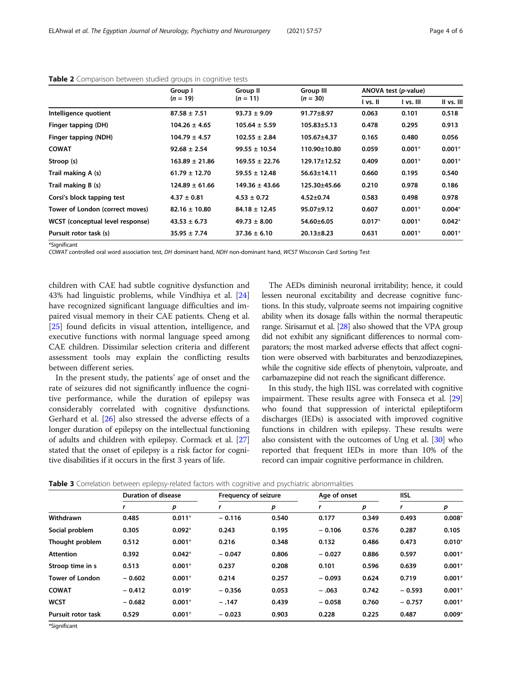|                                  | Group I<br>$(n = 19)$ | Group II           | <b>Group III</b>  |          | ANOVA test (p-value) |            |  |
|----------------------------------|-----------------------|--------------------|-------------------|----------|----------------------|------------|--|
|                                  |                       | $(n = 11)$         | $(n = 30)$        | I vs. II | I vs. III            | II vs. III |  |
| Intelligence quotient            | $87.58 \pm 7.51$      | $93.73 \pm 9.09$   | 91.77±8.97        | 0.063    | 0.101                | 0.518      |  |
| Finger tapping (DH)              | $104.26 \pm 4.65$     | $105.64 \pm 5.59$  | $105.83 \pm 5.13$ | 0.478    | 0.295                | 0.913      |  |
| Finger tapping (NDH)             | $104.79 \pm 4.57$     | $102.55 \pm 2.84$  | 105.67±4.37       | 0.165    | 0.480                | 0.056      |  |
| <b>COWAT</b>                     | $92.68 \pm 2.54$      | $99.55 \pm 10.54$  | 110.90±10.80      | 0.059    | $0.001*$             | $0.001*$   |  |
| Stroop (s)                       | $163.89 \pm 21.86$    | $169.55 \pm 22.76$ | 129.17±12.52      | 0.409    | $0.001*$             | $0.001*$   |  |
| Trail making A (s)               | $61.79 \pm 12.70$     | $59.55 \pm 12.48$  | 56.63±14.11       | 0.660    | 0.195                | 0.540      |  |
| Trail making B (s)               | $124.89 \pm 61.66$    | $149.36 \pm 43.66$ | 125.30±45.66      | 0.210    | 0.978                | 0.186      |  |
| Corsi's block tapping test       | $4.37 \pm 0.81$       | $4.53 \pm 0.72$    | $4.52 \pm 0.74$   | 0.583    | 0.498                | 0.978      |  |
| Tower of London (correct moves)  | $82.16 \pm 10.80$     | $84.18 \pm 12.45$  | $95.07 \pm 9.12$  | 0.607    | $0.001*$             | $0.004*$   |  |
| WCST (conceptual level response) | $43.53 \pm 6.73$      | $49.73 \pm 8.00$   | 54.60±6.05        | $0.017*$ | $0.001*$             | $0.042*$   |  |
| Pursuit rotor task (s)           | $35.95 \pm 7.74$      | $37.36 \pm 6.10$   | $20.13 \pm 8.23$  | 0.631    | $0.001*$             | $0.001*$   |  |
|                                  |                       |                    |                   |          |                      |            |  |

#### <span id="page-3-0"></span>Table 2 Comparison between studied groups in cognitive tests

\*Significant

COWAT controlled oral word association test, DH dominant hand, NDH non-dominant hand, WCST Wisconsin Card Sorting Test

children with CAE had subtle cognitive dysfunction and 43% had linguistic problems, while Vindhiya et al. [[24](#page-5-0)] have recognized significant language difficulties and impaired visual memory in their CAE patients. Cheng et al. [[25\]](#page-5-0) found deficits in visual attention, intelligence, and executive functions with normal language speed among CAE children. Dissimilar selection criteria and different assessment tools may explain the conflicting results between different series.

In the present study, the patients' age of onset and the rate of seizures did not significantly influence the cognitive performance, while the duration of epilepsy was considerably correlated with cognitive dysfunctions. Gerhard et al. [[26\]](#page-5-0) also stressed the adverse effects of a longer duration of epilepsy on the intellectual functioning of adults and children with epilepsy. Cormack et al. [[27](#page-5-0)] stated that the onset of epilepsy is a risk factor for cognitive disabilities if it occurs in the first 3 years of life.

The AEDs diminish neuronal irritability; hence, it could lessen neuronal excitability and decrease cognitive functions. In this study, valproate seems not impairing cognitive ability when its dosage falls within the normal therapeutic range. Sirisamut et al. [\[28\]](#page-5-0) also showed that the VPA group did not exhibit any significant differences to normal comparators; the most marked adverse effects that affect cognition were observed with barbiturates and benzodiazepines, while the cognitive side effects of phenytoin, valproate, and carbamazepine did not reach the significant difference.

In this study, the high IISL was correlated with cognitive impairment. These results agree with Fonseca et al. [[29](#page-5-0)] who found that suppression of interictal epileptiform discharges (IEDs) is associated with improved cognitive functions in children with epilepsy. These results were also consistent with the outcomes of Ung et al. [\[30\]](#page-5-0) who reported that frequent IEDs in more than 10% of the record can impair cognitive performance in children.

|  |  |  | Table 3 Correlation between epilepsy-related factors with cognitive and psychiatric abnormalities |  |  |  |  |
|--|--|--|---------------------------------------------------------------------------------------------------|--|--|--|--|
|--|--|--|---------------------------------------------------------------------------------------------------|--|--|--|--|

|                           | <b>Duration of disease</b> |          | Frequency of seizure |       | Age of onset |       | <b>IISL</b> |          |
|---------------------------|----------------------------|----------|----------------------|-------|--------------|-------|-------------|----------|
|                           |                            | р        |                      | p     |              | р     |             | р        |
| Withdrawn                 | 0.485                      | $0.011*$ | $-0.116$             | 0.540 | 0.177        | 0.349 | 0.493       | $0.008*$ |
| Social problem            | 0.305                      | $0.092*$ | 0.243                | 0.195 | $-0.106$     | 0.576 | 0.287       | 0.105    |
| Thought problem           | 0.512                      | $0.001*$ | 0.216                | 0.348 | 0.132        | 0.486 | 0.473       | $0.010*$ |
| <b>Attention</b>          | 0.392                      | $0.042*$ | $-0.047$             | 0.806 | $-0.027$     | 0.886 | 0.597       | $0.001*$ |
| Stroop time in s          | 0.513                      | $0.001*$ | 0.237                | 0.208 | 0.101        | 0.596 | 0.639       | $0.001*$ |
| <b>Tower of London</b>    | $-0.602$                   | $0.001*$ | 0.214                | 0.257 | $-0.093$     | 0.624 | 0.719       | $0.001*$ |
| <b>COWAT</b>              | $-0.412$                   | $0.019*$ | $-0.356$             | 0.053 | $-.063$      | 0.742 | $-0.593$    | $0.001*$ |
| <b>WCST</b>               | $-0.682$                   | $0.001*$ | $-.147$              | 0.439 | $-0.058$     | 0.760 | $-0.757$    | $0.001*$ |
| <b>Pursuit rotor task</b> | 0.529                      | $0.001*$ | $-0.023$             | 0.903 | 0.228        | 0.225 | 0.487       | $0.009*$ |

\*Significant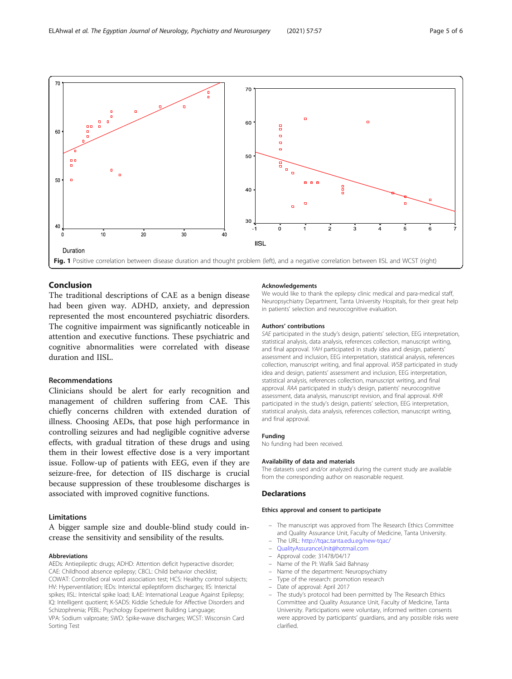<span id="page-4-0"></span>

# Conclusion

The traditional descriptions of CAE as a benign disease had been given way. ADHD, anxiety, and depression represented the most encountered psychiatric disorders. The cognitive impairment was significantly noticeable in attention and executive functions. These psychiatric and cognitive abnormalities were correlated with disease duration and IISL.

#### Recommendations

Clinicians should be alert for early recognition and management of children suffering from CAE. This chiefly concerns children with extended duration of illness. Choosing AEDs, that pose high performance in controlling seizures and had negligible cognitive adverse effects, with gradual titration of these drugs and using them in their lowest effective dose is a very important issue. Follow-up of patients with EEG, even if they are seizure-free, for detection of IIS discharge is crucial because suppression of these troublesome discharges is associated with improved cognitive functions.

## Limitations

A bigger sample size and double-blind study could increase the sensitivity and sensibility of the results.

#### Abbreviations

AEDs: Antiepileptic drugs; ADHD: Attention deficit hyperactive disorder; CAE: Childhood absence epilepsy; CBCL: Child behavior checklist; COWAT: Controlled oral word association test; HCS: Healthy control subjects; HV: Hyperventilation; IEDs: Interictal epileptiform discharges; IIS: Interictal spikes; IISL: Interictal spike load; ILAE: International League Against Epilepsy; IQ: Intelligent quotient; K-SADS: Kiddie Schedule for Affective Disorders and Schizophrenia; PEBL: Psychology Experiment Building Language; VPA: Sodium valproate; SWD: Spike-wave discharges; WCST: Wisconsin Card Sorting Test

#### Acknowledgements

We would like to thank the epilepsy clinic medical and para-medical staff, Neuropsychiatry Department, Tanta University Hospitals, for their great help in patients' selection and neurocognitive evaluation.

#### Authors' contributions

SAE participated in the study's design, patients' selection, EEG interpretation, statistical analysis, data analysis, references collection, manuscript writing, and final approval. YAH participated in study idea and design, patients' assessment and inclusion, EEG interpretation, statistical analysis, references collection, manuscript writing, and final approval. WSB participated in study idea and design, patients' assessment and inclusion, EEG interpretation, statistical analysis, references collection, manuscript writing, and final approval. RAA participated in study's design, patients' neurocognitive assessment, data analysis, manuscript revision, and final approval. KHR participated in the study's design, patients' selection, EEG interpretation, statistical analysis, data analysis, references collection, manuscript writing, and final approval.

#### Funding

No funding had been received.

#### Availability of data and materials

The datasets used and/or analyzed during the current study are available from the corresponding author on reasonable request.

#### **Declarations**

#### Ethics approval and consent to participate

- The manuscript was approved from The Research Ethics Committee and Quality Assurance Unit, Faculty of Medicine, Tanta University.
- The URL: <http://tqac.tanta.edu.eg/new-tqac/>
- [QualityAssuranceUnit@hotmail.com](mailto:QualityAssuranceUnit@hotmail.com)
- Approval code: 31478/04/17
- Name of the PI: Wafik Said Bahnasy
- Name of the department: Neuropsychiatry
- Type of the research: promotion research
- Date of approval: April 2017
- The study's protocol had been permitted by The Research Ethics Committee and Quality Assurance Unit, Faculty of Medicine, Tanta University. Participations were voluntary, informed written consents were approved by participants' guardians, and any possible risks were clarified.